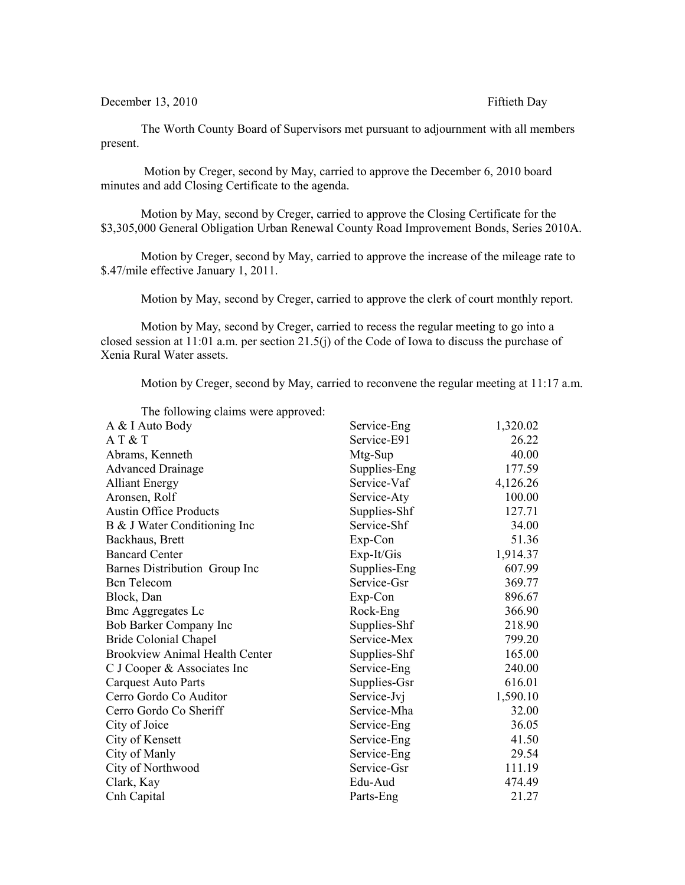December 13, 2010 Fiftieth Day

The Worth County Board of Supervisors met pursuant to adjournment with all members present.

 Motion by Creger, second by May, carried to approve the December 6, 2010 board minutes and add Closing Certificate to the agenda.

Motion by May, second by Creger, carried to approve the Closing Certificate for the \$3,305,000 General Obligation Urban Renewal County Road Improvement Bonds, Series 2010A.

Motion by Creger, second by May, carried to approve the increase of the mileage rate to \$.47/mile effective January 1, 2011.

Motion by May, second by Creger, carried to approve the clerk of court monthly report.

Motion by May, second by Creger, carried to recess the regular meeting to go into a closed session at 11:01 a.m. per section 21.5(j) of the Code of Iowa to discuss the purchase of Xenia Rural Water assets.

Motion by Creger, second by May, carried to reconvene the regular meeting at 11:17 a.m.

| The following claims were approved:   |              |          |
|---------------------------------------|--------------|----------|
| A & I Auto Body                       | Service-Eng  | 1,320.02 |
| AT & T                                | Service-E91  | 26.22    |
| Abrams, Kenneth                       | Mtg-Sup      | 40.00    |
| <b>Advanced Drainage</b>              | Supplies-Eng | 177.59   |
| <b>Alliant Energy</b>                 | Service-Vaf  | 4,126.26 |
| Aronsen, Rolf                         | Service-Aty  | 100.00   |
| <b>Austin Office Products</b>         | Supplies-Shf | 127.71   |
| B & J Water Conditioning Inc          | Service-Shf  | 34.00    |
| Backhaus, Brett                       | Exp-Con      | 51.36    |
| <b>Bancard Center</b>                 | Exp-It/Gis   | 1,914.37 |
| Barnes Distribution Group Inc         | Supplies-Eng | 607.99   |
| <b>Bcn</b> Telecom                    | Service-Gsr  | 369.77   |
| Block, Dan                            | Exp-Con      | 896.67   |
| <b>Bmc Aggregates Lc</b>              | Rock-Eng     | 366.90   |
| Bob Barker Company Inc                | Supplies-Shf | 218.90   |
| <b>Bride Colonial Chapel</b>          | Service-Mex  | 799.20   |
| <b>Brookview Animal Health Center</b> | Supplies-Shf | 165.00   |
| C J Cooper & Associates Inc           | Service-Eng  | 240.00   |
| <b>Carquest Auto Parts</b>            | Supplies-Gsr | 616.01   |
| Cerro Gordo Co Auditor                | Service-Jvj  | 1,590.10 |
| Cerro Gordo Co Sheriff                | Service-Mha  | 32.00    |
| City of Joice                         | Service-Eng  | 36.05    |
| City of Kensett                       | Service-Eng  | 41.50    |
| City of Manly                         | Service-Eng  | 29.54    |
| City of Northwood                     | Service-Gsr  | 111.19   |
| Clark, Kay                            | Edu-Aud      | 474.49   |
| Cnh Capital                           | Parts-Eng    | 21.27    |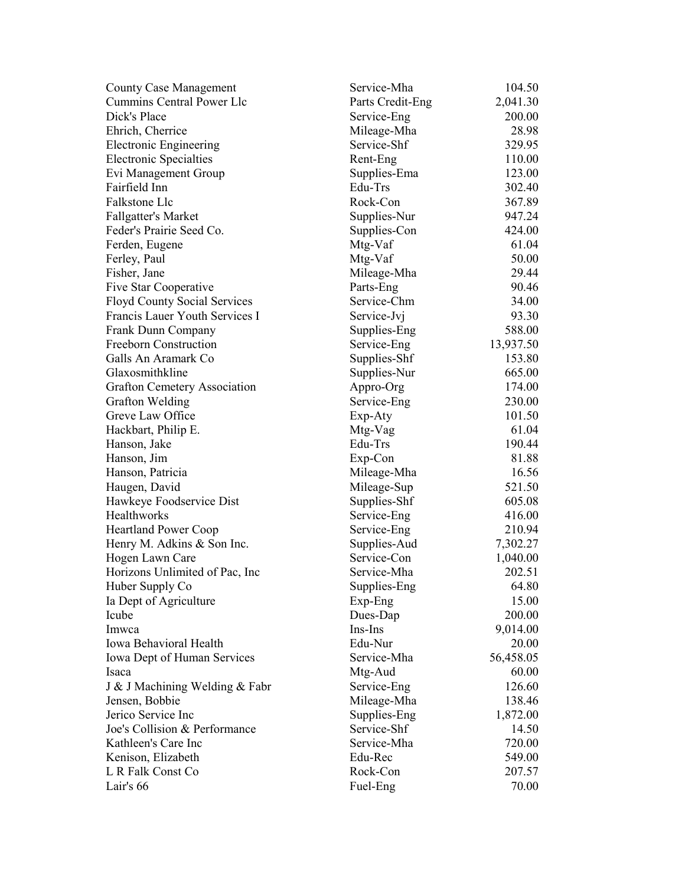| <b>County Case Management</b>       | Service-Mha      | 104.50    |
|-------------------------------------|------------------|-----------|
| Cummins Central Power Llc           | Parts Credit-Eng | 2,041.30  |
| Dick's Place                        | Service-Eng      | 200.00    |
| Ehrich, Cherrice                    | Mileage-Mha      | 28.98     |
| <b>Electronic Engineering</b>       | Service-Shf      | 329.95    |
| <b>Electronic Specialties</b>       | Rent-Eng         | 110.00    |
| Evi Management Group                | Supplies-Ema     | 123.00    |
| Fairfield Inn                       | Edu-Trs          | 302.40    |
| Falkstone Llc                       | Rock-Con         | 367.89    |
| <b>Fallgatter's Market</b>          | Supplies-Nur     | 947.24    |
| Feder's Prairie Seed Co.            | Supplies-Con     | 424.00    |
| Ferden, Eugene                      | Mtg-Vaf          | 61.04     |
| Ferley, Paul                        | Mtg-Vaf          | 50.00     |
| Fisher, Jane                        | Mileage-Mha      | 29.44     |
| Five Star Cooperative               | Parts-Eng        | 90.46     |
| <b>Floyd County Social Services</b> | Service-Chm      | 34.00     |
| Francis Lauer Youth Services I      | Service-Jvj      | 93.30     |
| Frank Dunn Company                  | Supplies-Eng     | 588.00    |
| Freeborn Construction               | Service-Eng      | 13,937.50 |
| Galls An Aramark Co                 | Supplies-Shf     | 153.80    |
| Glaxosmithkline                     | Supplies-Nur     | 665.00    |
| <b>Grafton Cemetery Association</b> | Appro-Org        | 174.00    |
| Grafton Welding                     | Service-Eng      | 230.00    |
| Greve Law Office                    | Exp-Aty          | 101.50    |
| Hackbart, Philip E.                 | Mtg-Vag          | 61.04     |
| Hanson, Jake                        | Edu-Trs          | 190.44    |
| Hanson, Jim                         | Exp-Con          | 81.88     |
| Hanson, Patricia                    | Mileage-Mha      | 16.56     |
| Haugen, David                       | Mileage-Sup      | 521.50    |
| Hawkeye Foodservice Dist            | Supplies-Shf     | 605.08    |
| Healthworks                         | Service-Eng      | 416.00    |
| <b>Heartland Power Coop</b>         | Service-Eng      | 210.94    |
| Henry M. Adkins & Son Inc.          | Supplies-Aud     | 7,302.27  |
| Hogen Lawn Care                     | Service-Con      | 1,040.00  |
| Horizons Unlimited of Pac, Inc.     | Service-Mha      | 202.51    |
| Huber Supply Co                     | Supplies-Eng     | 64.80     |
| Ia Dept of Agriculture              | Exp-Eng          | 15.00     |
| Icube                               | Dues-Dap         | 200.00    |
| Imwca                               | Ins-Ins          | 9,014.00  |
| Iowa Behavioral Health              | Edu-Nur          | 20.00     |
| Iowa Dept of Human Services         | Service-Mha      | 56,458.05 |
| Isaca                               | Mtg-Aud          | 60.00     |
| J & J Machining Welding & Fabr      | Service-Eng      | 126.60    |
| Jensen, Bobbie                      | Mileage-Mha      | 138.46    |
| Jerico Service Inc                  | Supplies-Eng     | 1,872.00  |
| Joe's Collision & Performance       | Service-Shf      | 14.50     |
| Kathleen's Care Inc                 | Service-Mha      | 720.00    |
| Kenison, Elizabeth                  | Edu-Rec          | 549.00    |
| L R Falk Const Co                   | Rock-Con         | 207.57    |
| Lair's 66                           | Fuel-Eng         | 70.00     |
|                                     |                  |           |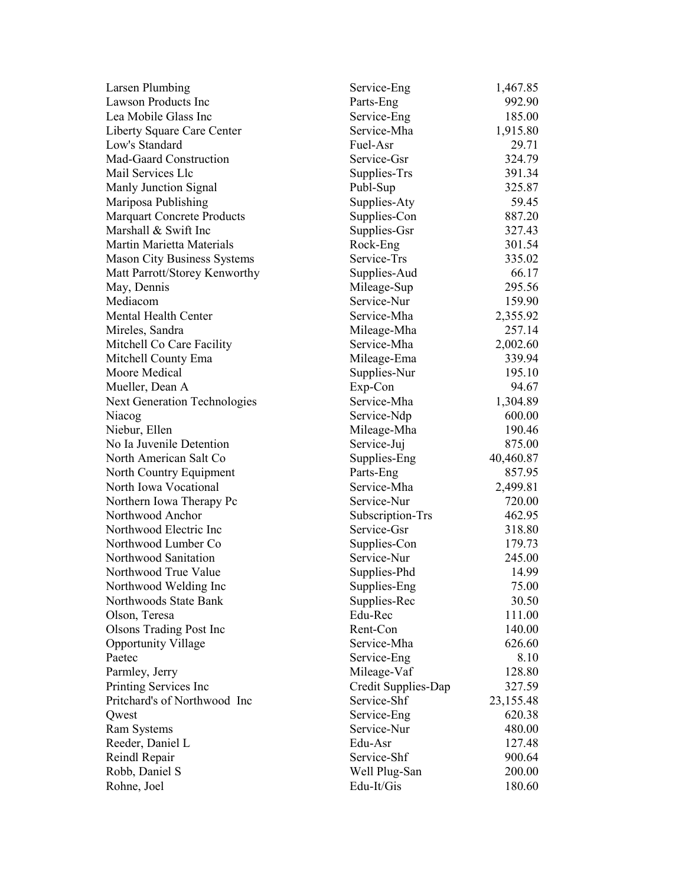| <b>Larsen Plumbing</b>              | Service-Eng         | 1,467.85  |
|-------------------------------------|---------------------|-----------|
| <b>Lawson Products Inc</b>          | Parts-Eng           | 992.90    |
| Lea Mobile Glass Inc                | Service-Eng         | 185.00    |
| Liberty Square Care Center          | Service-Mha         | 1,915.80  |
| Low's Standard                      | Fuel-Asr            | 29.71     |
| Mad-Gaard Construction              | Service-Gsr         | 324.79    |
| Mail Services Llc                   | Supplies-Trs        | 391.34    |
| Manly Junction Signal               | Publ-Sup            | 325.87    |
| Mariposa Publishing                 | Supplies-Aty        | 59.45     |
| <b>Marquart Concrete Products</b>   | Supplies-Con        | 887.20    |
| Marshall & Swift Inc                | Supplies-Gsr        | 327.43    |
| Martin Marietta Materials           | Rock-Eng            | 301.54    |
| <b>Mason City Business Systems</b>  | Service-Trs         | 335.02    |
| Matt Parrott/Storey Kenworthy       | Supplies-Aud        | 66.17     |
| May, Dennis                         | Mileage-Sup         | 295.56    |
| Mediacom                            | Service-Nur         | 159.90    |
| Mental Health Center                | Service-Mha         | 2,355.92  |
| Mireles, Sandra                     | Mileage-Mha         | 257.14    |
| Mitchell Co Care Facility           | Service-Mha         | 2,002.60  |
| Mitchell County Ema                 | Mileage-Ema         | 339.94    |
| Moore Medical                       | Supplies-Nur        | 195.10    |
| Mueller, Dean A                     | Exp-Con             | 94.67     |
| <b>Next Generation Technologies</b> | Service-Mha         | 1,304.89  |
| Niacog                              | Service-Ndp         | 600.00    |
| Niebur, Ellen                       | Mileage-Mha         | 190.46    |
| No Ia Juvenile Detention            | Service-Juj         | 875.00    |
| North American Salt Co              | Supplies-Eng        | 40,460.87 |
| North Country Equipment             | Parts-Eng           | 857.95    |
| North Iowa Vocational               | Service-Mha         | 2,499.81  |
| Northern Iowa Therapy Pc            | Service-Nur         | 720.00    |
| Northwood Anchor                    | Subscription-Trs    | 462.95    |
| Northwood Electric Inc              | Service-Gsr         | 318.80    |
| Northwood Lumber Co                 | Supplies-Con        | 179.73    |
| Northwood Sanitation                | Service-Nur         | 245.00    |
| Northwood True Value                | Supplies-Phd        | 14.99     |
| Northwood Welding Inc               | Supplies-Eng        | 75.00     |
| Northwoods State Bank               | Supplies-Rec        | 30.50     |
| Olson, Teresa                       | Edu-Rec             | 111.00    |
| <b>Olsons Trading Post Inc</b>      | Rent-Con            | 140.00    |
| <b>Opportunity Village</b>          | Service-Mha         | 626.60    |
| Paetec                              | Service-Eng         | 8.10      |
| Parmley, Jerry                      | Mileage-Vaf         | 128.80    |
| Printing Services Inc               | Credit Supplies-Dap | 327.59    |
| Pritchard's of Northwood Inc        | Service-Shf         | 23,155.48 |
| Qwest                               | Service-Eng         | 620.38    |
| <b>Ram Systems</b>                  | Service-Nur         | 480.00    |
| Reeder, Daniel L                    | Edu-Asr             | 127.48    |
| Reindl Repair                       | Service-Shf         | 900.64    |
| Robb, Daniel S                      | Well Plug-San       | 200.00    |
| Rohne, Joel                         | Edu-It/Gis          | 180.60    |
|                                     |                     |           |